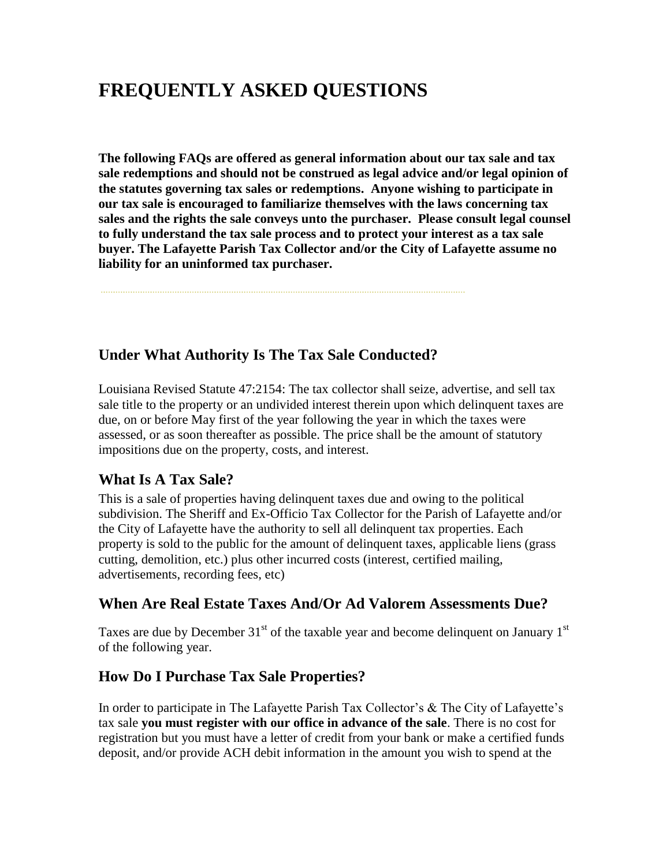# **FREQUENTLY ASKED QUESTIONS**

**The following FAQs are offered as general information about our tax sale and tax sale redemptions and should not be construed as legal advice and/or legal opinion of the statutes governing tax sales or redemptions. Anyone wishing to participate in our tax sale is encouraged to familiarize themselves with the laws concerning tax sales and the rights the sale conveys unto the purchaser. Please consult legal counsel to fully understand the tax sale process and to protect your interest as a tax sale buyer. The Lafayette Parish Tax Collector and/or the City of Lafayette assume no liability for an uninformed tax purchaser.** 

#### **Under What Authority Is The Tax Sale Conducted?**

Louisiana Revised Statute 47:2154: The tax collector shall seize, advertise, and sell tax sale title to the property or an undivided interest therein upon which delinquent taxes are due, on or before May first of the year following the year in which the taxes were assessed, or as soon thereafter as possible. The price shall be the amount of statutory impositions due on the property, costs, and interest.

#### **What Is A Tax Sale?**

This is a sale of properties having delinquent taxes due and owing to the political subdivision. The Sheriff and Ex-Officio Tax Collector for the Parish of Lafayette and/or the City of Lafayette have the authority to sell all delinquent tax properties. Each property is sold to the public for the amount of delinquent taxes, applicable liens (grass cutting, demolition, etc.) plus other incurred costs (interest, certified mailing, advertisements, recording fees, etc)

#### **When Are Real Estate Taxes And/Or Ad Valorem Assessments Due?**

Taxes are due by December  $31<sup>st</sup>$  of the taxable year and become delinguent on January  $1<sup>st</sup>$ of the following year.

#### **How Do I Purchase Tax Sale Properties?**

In order to participate in The Lafayette Parish Tax Collector's & The City of Lafayette's tax sale **you must register with our office in advance of the sale**. There is no cost for registration but you must have a letter of credit from your bank or make a certified funds deposit, and/or provide ACH debit information in the amount you wish to spend at the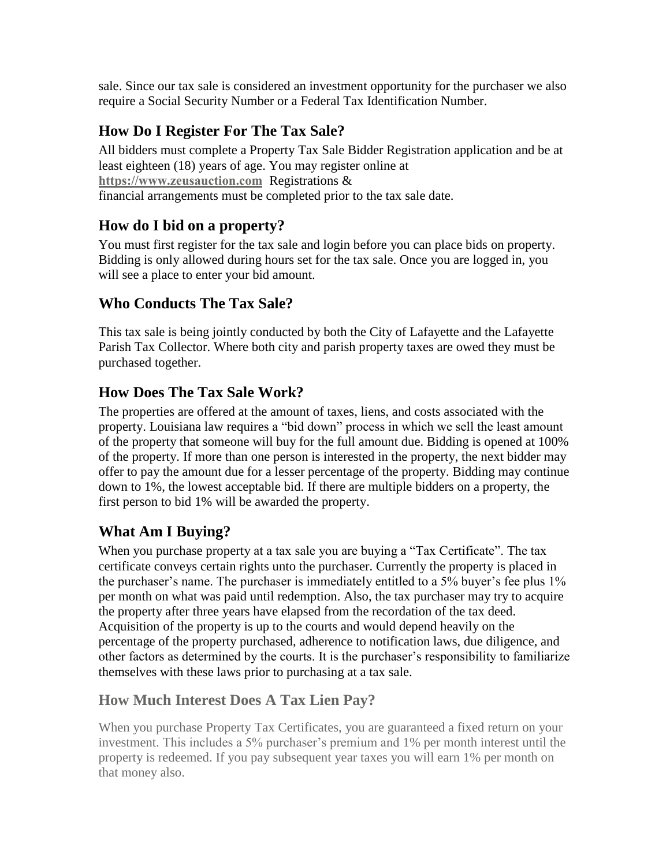sale. Since our tax sale is considered an investment opportunity for the purchaser we also require a Social Security Number or a Federal Tax Identification Number.

### **How Do I Register For The Tax Sale?**

All bidders must complete a Property Tax Sale Bidder Registration application and be at least eighteen (18) years of age. You may register online at **[https://www.zeusauction.com](https://www.zeusauction.com/)** Registrations & financial arrangements must be completed prior to the tax sale date.

#### **How do I bid on a property?**

You must first register for the tax sale and login before you can place bids on property. Bidding is only allowed during hours set for the tax sale. Once you are logged in, you will see a place to enter your bid amount.

#### **Who Conducts The Tax Sale?**

This tax sale is being jointly conducted by both the City of Lafayette and the Lafayette Parish Tax Collector. Where both city and parish property taxes are owed they must be purchased together.

#### **How Does The Tax Sale Work?**

The properties are offered at the amount of taxes, liens, and costs associated with the property. Louisiana law requires a "bid down" process in which we sell the least amount of the property that someone will buy for the full amount due. Bidding is opened at 100% of the property. If more than one person is interested in the property, the next bidder may offer to pay the amount due for a lesser percentage of the property. Bidding may continue down to 1%, the lowest acceptable bid. If there are multiple bidders on a property, the first person to bid 1% will be awarded the property.

#### **What Am I Buying?**

When you purchase property at a tax sale you are buying a "Tax Certificate". The tax certificate conveys certain rights unto the purchaser. Currently the property is placed in the purchaser's name. The purchaser is immediately entitled to a 5% buyer's fee plus 1% per month on what was paid until redemption. Also, the tax purchaser may try to acquire the property after three years have elapsed from the recordation of the tax deed. Acquisition of the property is up to the courts and would depend heavily on the percentage of the property purchased, adherence to notification laws, due diligence, and other factors as determined by the courts. It is the purchaser's responsibility to familiarize themselves with these laws prior to purchasing at a tax sale.

#### **How Much Interest Does A Tax Lien Pay?**

When you purchase Property Tax Certificates, you are guaranteed a fixed return on your investment. This includes a 5% purchaser's premium and 1% per month interest until the property is redeemed. If you pay subsequent year taxes you will earn 1% per month on that money also.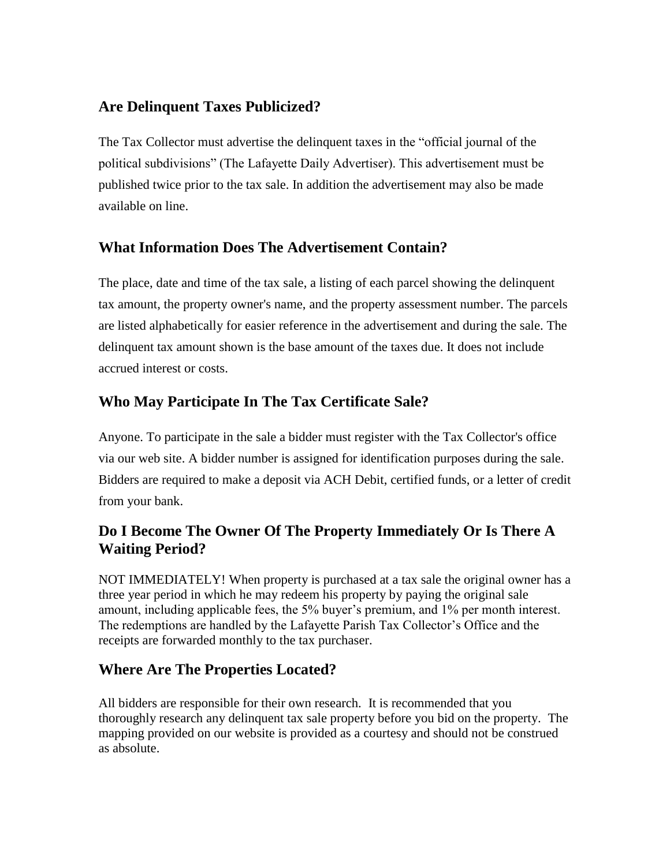#### **Are Delinquent Taxes Publicized?**

The Tax Collector must advertise the delinquent taxes in the "official journal of the political subdivisions" (The Lafayette Daily Advertiser). This advertisement must be published twice prior to the tax sale. In addition the advertisement may also be made available on line.

#### **What Information Does The Advertisement Contain?**

The place, date and time of the tax sale, a listing of each parcel showing the delinquent tax amount, the property owner's name, and the property assessment number. The parcels are listed alphabetically for easier reference in the advertisement and during the sale. The delinquent tax amount shown is the base amount of the taxes due. It does not include accrued interest or costs.

#### **Who May Participate In The Tax Certificate Sale?**

Anyone. To participate in the sale a bidder must register with the Tax Collector's office via our web site. A bidder number is assigned for identification purposes during the sale. Bidders are required to make a deposit via ACH Debit, certified funds, or a letter of credit from your bank.

#### **Do I Become The Owner Of The Property Immediately Or Is There A Waiting Period?**

NOT IMMEDIATELY! When property is purchased at a tax sale the original owner has a three year period in which he may redeem his property by paying the original sale amount, including applicable fees, the 5% buyer's premium, and 1% per month interest. The redemptions are handled by the Lafayette Parish Tax Collector's Office and the receipts are forwarded monthly to the tax purchaser.

#### **Where Are The Properties Located?**

All bidders are responsible for their own research. It is recommended that you thoroughly research any delinquent tax sale property before you bid on the property. The mapping provided on our website is provided as a courtesy and should not be construed as absolute.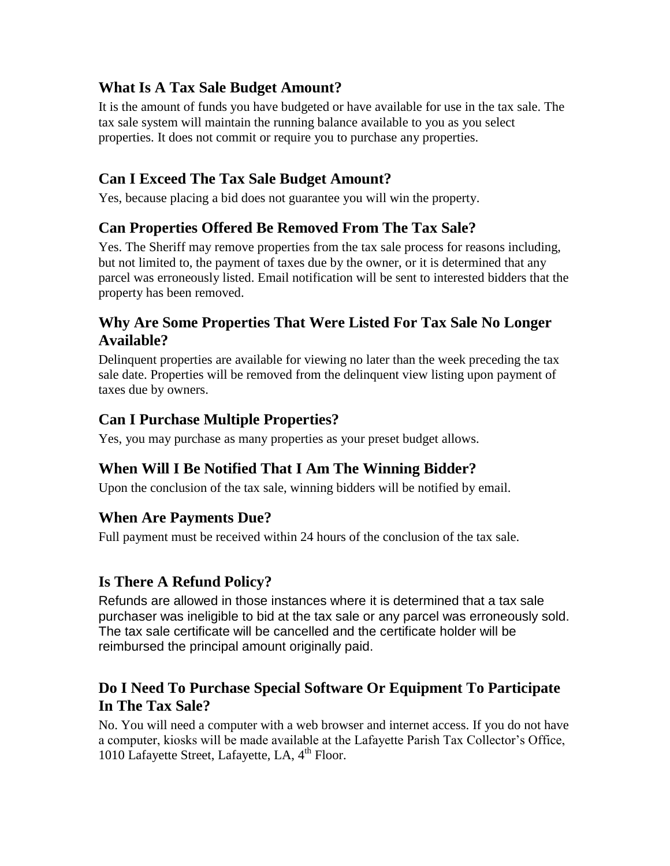#### **What Is A Tax Sale Budget Amount?**

It is the amount of funds you have budgeted or have available for use in the tax sale. The tax sale system will maintain the running balance available to you as you select properties. It does not commit or require you to purchase any properties.

#### **Can I Exceed The Tax Sale Budget Amount?**

Yes, because placing a bid does not guarantee you will win the property.

#### **Can Properties Offered Be Removed From The Tax Sale?**

Yes. The Sheriff may remove properties from the tax sale process for reasons including, but not limited to, the payment of taxes due by the owner, or it is determined that any parcel was erroneously listed. Email notification will be sent to interested bidders that the property has been removed.

#### **Why Are Some Properties That Were Listed For Tax Sale No Longer Available?**

Delinquent properties are available for viewing no later than the week preceding the tax sale date. Properties will be removed from the delinquent view listing upon payment of taxes due by owners.

#### **Can I Purchase Multiple Properties?**

Yes, you may purchase as many properties as your preset budget allows.

#### **When Will I Be Notified That I Am The Winning Bidder?**

Upon the conclusion of the tax sale, winning bidders will be notified by email.

#### **When Are Payments Due?**

Full payment must be received within 24 hours of the conclusion of the tax sale.

#### **Is There A Refund Policy?**

Refunds are allowed in those instances where it is determined that a tax sale purchaser was ineligible to bid at the tax sale or any parcel was erroneously sold. The tax sale certificate will be cancelled and the certificate holder will be reimbursed the principal amount originally paid.

#### **Do I Need To Purchase Special Software Or Equipment To Participate In The Tax Sale?**

No. You will need a computer with a web browser and internet access. If you do not have a computer, kiosks will be made available at the Lafayette Parish Tax Collector's Office, 1010 Lafayette Street, Lafayette, LA, 4<sup>th</sup> Floor.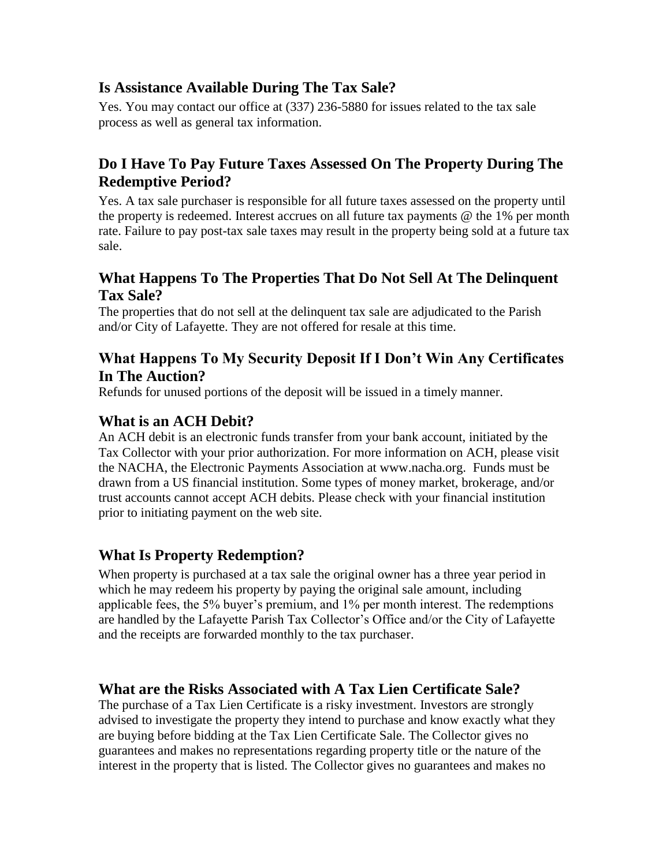#### **Is Assistance Available During The Tax Sale?**

Yes. You may contact our office at (337) 236-5880 for issues related to the tax sale process as well as general tax information.

#### **Do I Have To Pay Future Taxes Assessed On The Property During The Redemptive Period?**

Yes. A tax sale purchaser is responsible for all future taxes assessed on the property until the property is redeemed. Interest accrues on all future tax payments @ the 1% per month rate. Failure to pay post-tax sale taxes may result in the property being sold at a future tax sale.

#### **What Happens To The Properties That Do Not Sell At The Delinquent Tax Sale?**

The properties that do not sell at the delinquent tax sale are adjudicated to the Parish and/or City of Lafayette. They are not offered for resale at this time.

# **What Happens To My Security Deposit If I Don't Win Any Certificates In The Auction?**<br>Refunds for unused portions of the deposit will be issued in a timely manner.

**What is an ACH Debit?**<br>An ACH debit is an electronic funds transfer from your bank account, initiated by the Tax Collector with your prior authorization. For more information on ACH, please visit the NACHA, the Electronic Payments Association at www.nacha.org. Funds must be drawn from a US financial institution. Some types of money market, brokerage, and/or trust accounts cannot accept ACH debits. Please check with your financial institution prior to initiating payment on the web site.

#### **What Is Property Redemption?**

When property is purchased at a tax sale the original owner has a three year period in which he may redeem his property by paying the original sale amount, including applicable fees, the 5% buyer's premium, and 1% per month interest. The redemptions are handled by the Lafayette Parish Tax Collector's Office and/or the City of Lafayette and the receipts are forwarded monthly to the tax purchaser.

#### **What are the Risks Associated with A Tax Lien Certificate Sale?**

The purchase of a Tax Lien Certificate is a risky investment. Investors are strongly advised to investigate the property they intend to purchase and know exactly what they are buying before bidding at the Tax Lien Certificate Sale. The Collector gives no guarantees and makes no representations regarding property title or the nature of the interest in the property that is listed. The Collector gives no guarantees and makes no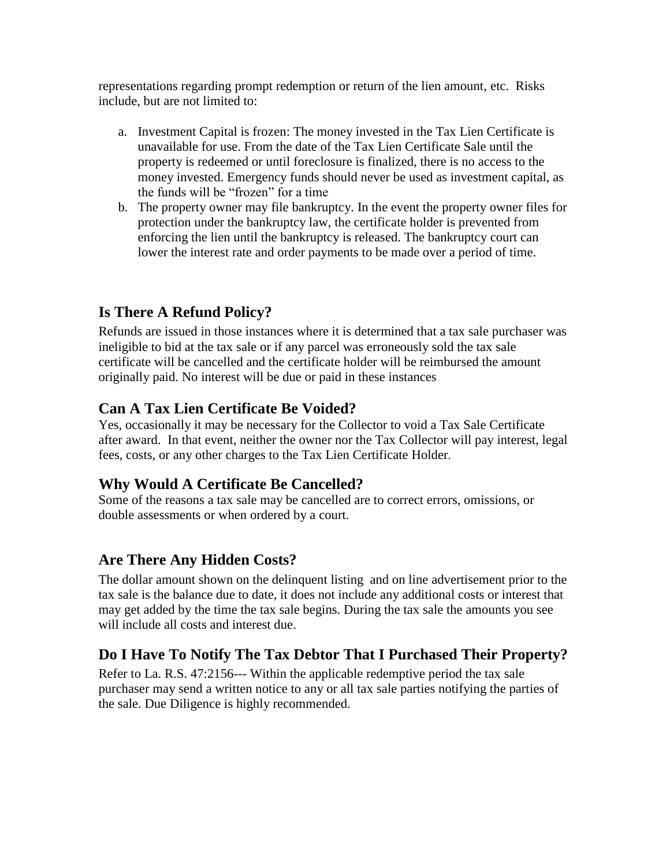representations regarding prompt redemption or return of the lien amount, etc. Risks include, but are not limited to:

- a. Investment Capital is frozen: The money invested in the Tax Lien Certificate is unavailable for use. From the date of the Tax Lien Certificate Sale until the property is redeemed or until foreclosure is finalized, there is no access to the money invested. Emergency funds should never be used as investment capital, as the funds will be "frozen" for a time
- b. The property owner may file bankruptcy. In the event the property owner files for protection under the bankruptcy law, the certificate holder is prevented from enforcing the lien until the bankruptcy is released. The bankruptcy court can lower the interest rate and order payments to be made over a period of time.

#### **Is There A Refund Policy?**

Refunds are issued in those instances where it is determined that a tax sale purchaser was ineligible to bid at the tax sale or if any parcel was erroneously sold the tax sale certificate will be cancelled and the certificate holder will be reimbursed the amount originally paid. No interest will be due or paid in these instances

#### **Can A Tax Lien Certificate Be Voided?**

Yes, occasionally it may be necessary for the Collector to void a Tax Sale Certificate after award. In that event, neither the owner nor the Tax Collector will pay interest, legal fees, costs, or any other charges to the Tax Lien Certificate Holder.

#### **Why Would A Certificate Be Cancelled?**

Some of the reasons a tax sale may be cancelled are to correct errors, omissions, or double assessments or when ordered by a court.

#### **Are There Any Hidden Costs?**

The dollar amount shown on the delinquent listing and on line advertisement prior to the tax sale is the balance due to date, it does not include any additional costs or interest that may get added by the time the tax sale begins. During the tax sale the amounts you see will include all costs and interest due.

#### **Do I Have To Notify The Tax Debtor That I Purchased Their Property?**

Refer to La. R.S. 47:2156--- Within the applicable redemptive period the tax sale purchaser may send a written notice to any or all tax sale parties notifying the parties of the sale. Due Diligence is highly recommended.